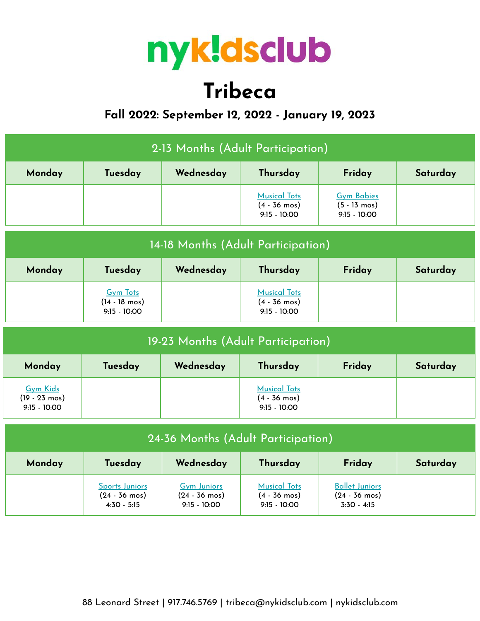

# **Tribeca**

## **Fall 2022: September 12, 2022 - January 19, 2023**

| 2-13 Months (Adult Participation) |         |        |                                                                 |                                                               |  |  |
|-----------------------------------|---------|--------|-----------------------------------------------------------------|---------------------------------------------------------------|--|--|
| Monday                            | Tuesday | Friday | Saturday                                                        |                                                               |  |  |
|                                   |         |        | <b>Musical Tots</b><br>$(4 - 36 \text{ mos})$<br>$9:15 - 10:00$ | <b>Gym Babies</b><br>$(5 - 13 \text{ mos})$<br>$9:15 - 10:00$ |  |  |

| 14-18 Months (Adult Participation) |                                                              |  |                                                                 |  |  |  |  |
|------------------------------------|--------------------------------------------------------------|--|-----------------------------------------------------------------|--|--|--|--|
| Monday                             | Saturday                                                     |  |                                                                 |  |  |  |  |
|                                    | <b>Gym Tots</b><br>$(14 - 18 \text{ mos})$<br>$9:15 - 10:00$ |  | <b>Musical Tots</b><br>$(4 - 36 \text{ mos})$<br>$9:15 - 10:00$ |  |  |  |  |

| 19-23 Months (Adult Participation)                           |         |           |                                                                 |        |          |  |  |
|--------------------------------------------------------------|---------|-----------|-----------------------------------------------------------------|--------|----------|--|--|
| Monday                                                       | Tuesday | Wednesday | Thursday                                                        | Friday | Saturday |  |  |
| <b>Gym Kids</b><br>$(19 - 23 \text{ mos})$<br>$9:15 - 10:00$ |         |           | <b>Musical Tots</b><br>$(4 - 36 \text{ mos})$<br>$9:15 - 10:00$ |        |          |  |  |

| 24-36 Months (Adult Participation)                   |                                                            |                                                                 |                                                                 |                                                                   |  |  |  |
|------------------------------------------------------|------------------------------------------------------------|-----------------------------------------------------------------|-----------------------------------------------------------------|-------------------------------------------------------------------|--|--|--|
| Wednesday<br>Friday<br>Thursday<br>Tuesday<br>Monday |                                                            |                                                                 |                                                                 |                                                                   |  |  |  |
|                                                      | Sports Juniors<br>$(24 - 36 \text{ mos})$<br>$4:30 - 5:15$ | <b>Gym Juniors</b><br>$(24 - 36 \text{ mos})$<br>$9:15 - 10:00$ | <b>Musical Tots</b><br>$(4 - 36 \text{ mos})$<br>$9:15 - 10:00$ | <b>Ballet Juniors</b><br>$(24 - 36 \text{ mos})$<br>$3:30 - 4:15$ |  |  |  |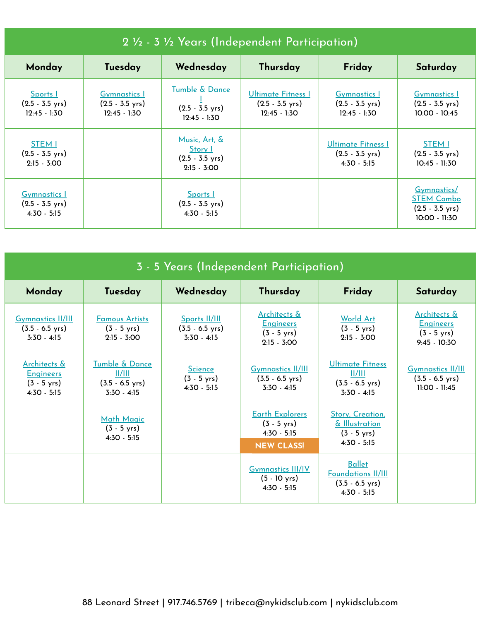| 2 1/2 - 3 1/2 Years (Independent Participation)                   |                                                                    |                                                                        |                                                                          |                                                                    |                                                                                  |  |  |
|-------------------------------------------------------------------|--------------------------------------------------------------------|------------------------------------------------------------------------|--------------------------------------------------------------------------|--------------------------------------------------------------------|----------------------------------------------------------------------------------|--|--|
| Monday                                                            | Tuesday                                                            | Wednesday                                                              | Thursday                                                                 | Friday                                                             | Saturday                                                                         |  |  |
| Sports  <br>$(2.5 - 3.5 \text{ yrs})$<br>$12:45 - 1:30$           | <b>Gymnastics</b> 1<br>$(2.5 - 3.5 \text{ yrs})$<br>$12:45 - 1:30$ | Tumble & Dance<br>$(2.5 - 3.5 \text{ yrs})$<br>$12:45 - 1:30$          | <b>Ultimate Fitness I</b><br>$(2.5 - 3.5 \text{ yrs})$<br>$12:45 - 1:30$ | <b>Gymnastics</b> 1<br>$(2.5 - 3.5 \text{ yrs})$<br>$12:45 - 1:30$ | <b>Gymnastics</b> 1<br>$(2.5 - 3.5 \text{ yrs})$<br>$10:00 - 10:45$              |  |  |
| <b>STEM I</b><br>$(2.5 - 3.5 \text{ yrs})$<br>$2:15 - 3:00$       |                                                                    | Music, Art, &<br>Story I<br>$(2.5 - 3.5 \text{ yrs})$<br>$2:15 - 3:00$ |                                                                          | Ultimate Fitness I<br>$(2.5 - 3.5 \text{ yrs})$<br>$4:30 - 5:15$   | <b>STEM I</b><br>$(2.5 - 3.5 \text{ yrs})$<br>$10:45 - 11:30$                    |  |  |
| <b>Gymnastics</b> 1<br>$(2.5 - 3.5 \text{ yrs})$<br>$4:30 - 5:15$ |                                                                    | <b>Sports</b><br>$(2.5 - 3.5 \text{ yrs})$<br>$4:30 - 5:15$            |                                                                          |                                                                    | Gymnastics/<br><b>STEM Combo</b><br>$(2.5 - 3.5 \text{ yrs})$<br>$10:00 - 11:30$ |  |  |

| 3 - 5 Years (Independent Participation)                                               |                                                                        |                                                             |                                                                                       |                                                                                          |                                                                             |  |  |
|---------------------------------------------------------------------------------------|------------------------------------------------------------------------|-------------------------------------------------------------|---------------------------------------------------------------------------------------|------------------------------------------------------------------------------------------|-----------------------------------------------------------------------------|--|--|
| Monday                                                                                | Tuesday                                                                | Wednesday                                                   | Thursday                                                                              | Friday                                                                                   | Saturday                                                                    |  |  |
| <b>Gymnastics II/III</b><br>$(3.5 - 6.5 \text{ yrs})$<br>$3:30 - 4:15$                | <b>Famous Artists</b><br>$(3 - 5 \text{ yrs})$<br>$2:15 - 3:00$        | Sports II/III<br>$(3.5 - 6.5 \text{ yrs})$<br>$3:30 - 4:15$ | Architects &<br><b>Engineers</b><br>$(3 - 5 \text{ yrs})$<br>$2:15 - 3:00$            | <b>World Art</b><br>$(3 - 5 \text{ yrs})$<br>$2:15 - 3:00$                               | Architects &<br><b>Engineers</b><br>$(3 - 5 \text{ yrs})$<br>$9:45 - 10:30$ |  |  |
| <u>Architects &amp;</u><br><b>Engineers</b><br>$(3 - 5 \text{ yrs})$<br>$4:30 - 5:15$ | Tumble & Dance<br>  /   <br>$(3.5 - 6.5 \text{ yrs})$<br>$3:30 - 4:15$ | <b>Science</b><br>$(3 - 5 \text{ yrs})$<br>$4:30 - 5:15$    | <b>Gymnastics II/III</b><br>$(3.5 - 6.5 \text{ yrs})$<br>$3:30 - 4:15$                | <b>Ultimate Fitness</b><br>  /   <br>$(3.5 - 6.5 \text{ yrs})$<br>$3:30 - 4:15$          | <b>Gymnastics II/III</b><br>$(3.5 - 6.5 \text{ yrs})$<br>$11:00 - 11:45$    |  |  |
|                                                                                       | Math Magic<br>$(3 - 5 \text{ yrs})$<br>$4:30 - 5:15$                   |                                                             | <b>Earth Explorers</b><br>$(3 - 5 \text{ yrs})$<br>$4:30 - 5:15$<br><b>NEW CLASS!</b> | Story, Creation,<br>& Illustration<br>$(3 - 5 \text{ yrs})$<br>$4:30 - 5:15$             |                                                                             |  |  |
|                                                                                       |                                                                        |                                                             | <b>Gymnastics III/IV</b><br>$(5 - 10 \text{ yrs})$<br>$4:30 - 5:15$                   | <b>Ballet</b><br><b>Foundations II/III</b><br>$(3.5 - 6.5 \text{ yrs})$<br>$4:30 - 5:15$ |                                                                             |  |  |